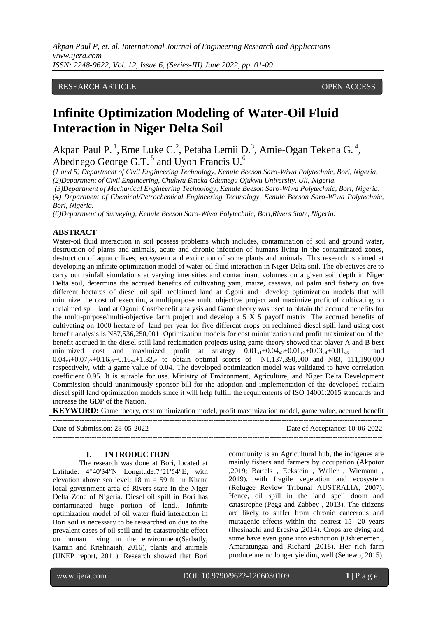*Akpan Paul P, et. al. International Journal of Engineering Research and Applications www.ijera.com ISSN: 2248-9622, Vol. 12, Issue 6, (Series-III) June 2022, pp. 01-09*

# RESEARCH ARTICLE **CONSERVERS** OPEN ACCESS

# **Infinite Optimization Modeling of Water-Oil Fluid Interaction in Niger Delta Soil**

Akpan Paul P.<sup>1</sup>, Eme Luke C.<sup>2</sup>, Petaba Lemii D.<sup>3</sup>, Amie-Ogan Tekena G.<sup>4</sup>, Abednego George G.T.<sup>5</sup> and Uyoh Francis U.<sup>6</sup>

*(1 and 5) Department of Civil Engineering Technology, Kenule Beeson Saro-Wiwa Polytechnic, Bori, Nigeria. (2)Department of Civil Engineering, Chukwu Emeka Odumegu Ojukwu University, Uli, Nigeria.*

*(3)Department of Mechanical Engineering Technology, Kenule Beeson Saro-Wiwa Polytechnic, Bori, Nigeria. (4) Department of Chemical/Petrochemical Engineering Technology, Kenule Beeson Saro-Wiwa Polytechnic, Bori, Nigeria.*

*(6)Department of Surveying, Kenule Beeson Saro-Wiwa Polytechnic, Bori,Rivers State, Nigeria.*

## **ABSTRACT**

Water-oil fluid interaction in soil possess problems which includes, contamination of soil and ground water, destruction of plants and animals, acute and chronic infection of humans living in the contaminated zones, destruction of aquatic lives, ecosystem and extinction of some plants and animals. This research is aimed at developing an infinite optimization model of water-oil fluid interaction in Niger Delta soil. The objectives are to carry out rainfall simulations at varying intensities and contaminant volumes on a given soil depth in Niger Delta soil, determine the accrued benefits of cultivating yam, maize, cassava, oil palm and fishery on five different hectares of diesel oil spill reclaimed land at Ogoni and develop optimization models that will minimize the cost of executing a multipurpose multi objective project and maximize profit of cultivating on reclaimed spill land at Ogoni. Cost/benefit analysis and Game theory was used to obtain the accrued benefits for the multi-purpose/multi-objective farm project and develop a 5  $\overline{X}$  5 payoff matrix. The accrued benefits of cultivating on 1000 hectare of land per year for five different crops on reclaimed diesel spill land using cost benefit analysis is N87,536,250,001. Optimization models for cost minimization and profit maximization of the benefit accrued in the diesel spill land reclamation projects using game theory showed that player A and B best minimized cost and maximized profit at strategy  $0.01_{x1}+0.04_{x2}+0.01_{x3}+0.03_{x4}+0.01_{x5}$  and  $0.04_{v1}+0.07_{v2}+0.16_{v3}+0.16_{v4}+1.32_{v5}$  to obtain optimal scores of  $\pm 1,137,390,000$  and  $\pm 83,111,190,000$ respectively, with a game value of 0.04. The developed optimization model was validated to have correlation coefficient 0.95. It is suitable for use. Ministry of Environment, Agriculture, and Niger Delta Development Commission should unanimously sponsor bill for the adoption and implementation of the developed reclaim diesel spill land optimization models since it will help fulfill the requirements of ISO 14001:2015 standards and increase the GDP of the Nation.

**KEYWORD:** Game theory, cost minimization model, profit maximization model, game value, accrued benefit

| Date of Submission: 28-05-2022 | Date of Acceptance: 10-06-2022 |
|--------------------------------|--------------------------------|
|                                |                                |

#### **I. INTRODUCTION**

The research was done at Bori, located at Latitude: 4°40′34″N Longitude:7°21′54″E, with elevation above sea level: 18 m = 59 ft in Khana local government area of Rivers state in the Niger Delta Zone of Nigeria. Diesel oil spill in Bori has contaminated huge portion of land.. Infinite optimization model of oil water fluid interaction in Bori soil is necessary to be researched on due to the prevalent cases of oil spill and its catastrophic effect on human living in the environment(Sarbatly, Kamin and Krishnaiah, 2016), plants and animals (UNEP report, 2011). Research showed that Bori community is an Agricultural hub, the indigenes are mainly fishers and farmers by occupation (Akpotor ,2019; Bartels , Eckstein , Waller , Wiemann , 2019), with fragile vegetation and ecosystem (Refugee Review Tribunal AUSTRALIA, 2007). Hence, oil spill in the land spell doom and catastrophe (Pegg and Zabbey , 2013). The citizens are likely to suffer from chronic cancerous and mutagenic effects within the nearest 15- 20 years (Ihesinachi and Eresiya ,2014). Crops are dying and some have even gone into extinction (Oshienemen , Amaratungaa and Richard ,2018). Her rich farm produce are no longer yielding well (Senewo, 2015).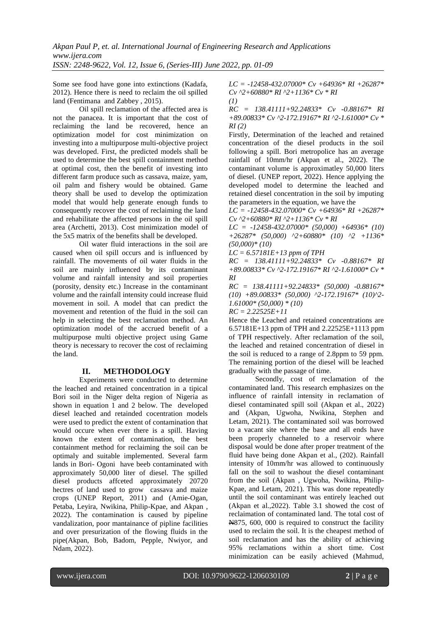Some see food have gone into extinctions (Kadafa, 2012). Hence there is need to reclaim the oil spilled land (Fentimana and Zabbey , 2015).

Oil spill reclamation of the affected area is not the panacea. It is important that the cost of reclaiming the land be recovered, hence an optimization model for cost minimization on investing into a multipurpose multi-objective project was developed. First, the predicted models shall be used to determine the best spill containment method at optimal cost, then the benefit of investing into different farm produce such as cassava, maize, yam, oil palm and fishery would be obtained. Game theory shall be used to develop the optimization model that would help generate enough funds to consequently recover the cost of reclaiming the land and rehabilitate the affected persons in the oil spill area (Archetti, 2013). Cost minimization model of the 5x5 matrix of the benefits shall be developed.

Oil water fluid interactions in the soil are caused when oil spill occurs and is influenced by rainfall. The movements of oil water fluids in the soil are mainly influenced by its contaminant volume and rainfall intensity and soil properties (porosity, density etc.) Increase in the contaminant volume and the rainfall intensity could increase fluid movement in soil. A model that can predict the movement and retention of the fluid in the soil can help in selecting the best reclamation method. An optimization model of the accrued benefit of a multipurpose multi objective project using Game theory is necessary to recover the cost of reclaiming the land.

# **II. METHODOLOGY**

Experiments were conducted to determine the leached and retained concentration in a tipical Bori soil in the Niger delta region of Nigeria as shown in equation 1 and 2 below. The developed diesel leached and retainded cocentration models were used to predict the extent of contamination that would occure when ever there is a spill. Having known the extent of contamination, the best containment method for reclaiming the soil can be optimaly and suitable implemented. Several farm lands in Bori- Ogoni have beeb contaminated with approximately 50,000 liter of diesel. The spilled diesel products affceted approximately 20720 hectres of land used to grow cassava and maize crops (UNEP Report, 2011) and (Amie-Ogan, Petaba, Leyira, Nwikina, Philip-Kpae, and Akpan , 2022). The contamination is caused by pipeline vandalization, poor mantainance of pipline facilities and over presurization of the flowing fluids in the pipe(Akpan, Bob, Badom, Pepple, Nwiyor, and Ndam, 2022).

*LC = -12458-432.07000\* Cv +64936\* RI +26287\* Cv ^2+60880\* RI ^2+1136\* Cv \* RI (1)*

*RC = 138.41111+92.24833\* Cv -0.88167\* RI +89.00833\* Cv ^2-172.19167\* RI ^2-1.61000\* Cv \* RI (2)*

Firstly, Determination of the leached and retained concentration of the diesel products in the soil following a spill. Bori metropolice has an average rainfall of 10mm/hr (Akpan et al., 2022). The contaminant volume is approximatley 50,000 liters of diesel. (UNEP report, 2022). Hence applying the developed model to determine the leached and retained diesel concentration in the soil by imputing the parameters in the equation, we have the

*LC = -12458-432.07000\* Cv +64936\* RI +26287\* Cv ^2+60880\* RI ^2+1136\* Cv \* RI*

*LC = -12458-432.07000\* (50,000) +64936\* (10) +26287\* (50,000) ^2+60880\* (10) ^2 +1136\* (50,000)\* (10)*

*LC = 6.57181E+13 ppm of TPH*

*RC = 138.41111+92.24833\* Cv -0.88167\* RI +89.00833\* Cv ^2-172.19167\* RI ^2-1.61000\* Cv \* RI* 

*RC = 138.41111+92.24833\* (50,000) -0.88167\* (10) +89.00833\* (50,000) ^2-172.19167\* (10)^2- 1.61000\* (50,000) \* (10)* 

*RC = 2.22525E+11*

Hence the Leached and retained concentrations are 6.57181E+13 ppm of TPH and 2.22525E+1113 ppm of TPH respectively. After reclamation of the soil, the leached and retained concentration of diesel in the soil is reduced to a range of 2.8ppm to 59 ppm. The remaining portion of the diesel will be leached gradually with the passage of time.

Secondly, cost of reclamation of the contaminated land. This research emphasizes on the influence of rainfall intensity in reclamation of diesel contaminated spill soil (Akpan et al., 2022) and (Akpan, Ugwoha, Nwikina, Stephen and Letam, 2021). The contaminated soil was borrowed to a vacant site where the base and all ends have been properly channeled to a reservoir where disposal would be done after proper treatment of the fluid have being done Akpan et al., (202). Rainfall intensity of 10mm/hr was allowed to continuously fall on the soil to washout the diesel contaminant from the soil (Akpan , Ugwoha, Nwikina, Philip-Kpae, and Letam, 2021). This was done repeatedly until the soil contaminant was entirely leached out (Akpan et al.,2022). Table 3.1 showed the cost of reclaimation of contaminated land. The total cost of N875, 600, 000 is required to construct the facility used to reclaim the soil. It is the cheapest method of soil reclamation and has the ability of achieving 95% reclamations within a short time. Cost minimization can be easily achieved (Mahmud,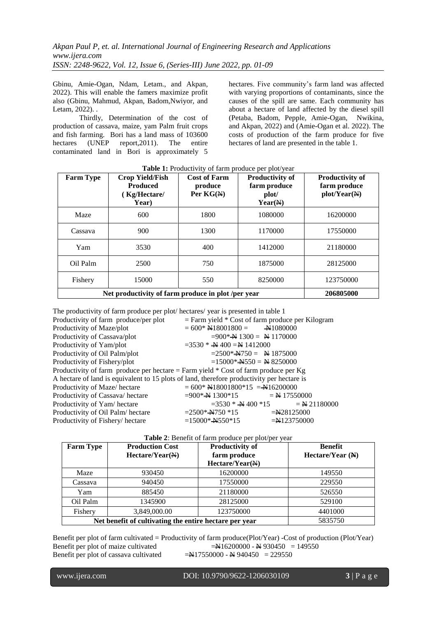Gbinu, Amie-Ogan, Ndam, Letam., and Akpan, 2022). This will enable the famers maximize profit also (Gbinu, Mahmud, Akpan, Badom,Nwiyor, and Letam, 2022). .

Thirdly, Determination of the cost of production of cassava, maize, yam Palm fruit crops and fish farming. Bori has a land mass of 103600 hectares (UNEP report,2011). The entire contaminated land in Bori is approximately 5

hectares. Five community's farm land was affected with varying proportions of contaminants, since the causes of the spill are same. Each community has about a hectare of land affected by the diesel spill (Petaba, Badom, Pepple, Amie-Ogan, Nwikina, and Akpan, 2022) and (Amie-Ogan et al. 2022). The costs of production of the farm produce for five hectares of land are presented in the table 1.

| <b>Farm Type</b>                                   | <b>Crop Yield/Fish</b><br><b>Produced</b><br>Kg/Hectare/<br>Year) | <b>Cost of Farm</b><br>produce<br>Per $KG(M)$ | <b>Productivity of</b><br>farm produce<br>plot/<br>Year(M) | <b>Productivity of</b><br>farm produce<br>$plot/Year(\mathbb{H})$ |
|----------------------------------------------------|-------------------------------------------------------------------|-----------------------------------------------|------------------------------------------------------------|-------------------------------------------------------------------|
| Maze                                               | 600                                                               | 1800                                          | 1080000                                                    | 16200000                                                          |
| Cassava                                            | 900                                                               | 1300                                          | 1170000                                                    | 17550000                                                          |
| Yam                                                | 3530                                                              | 400                                           | 1412000                                                    | 21180000                                                          |
| Oil Palm                                           | 2500                                                              | 750                                           | 1875000                                                    | 28125000                                                          |
| Fishery                                            | 15000                                                             | 550                                           | 8250000                                                    | 123750000                                                         |
| Net productivity of farm produce in plot /per year | 206805000                                                         |                                               |                                                            |                                                                   |

**Table 1:** Productivity of farm produce per plot/year

| The productivity of farm produce per plot/hectares/year is presented in table 1            |                                                                |                                                      |
|--------------------------------------------------------------------------------------------|----------------------------------------------------------------|------------------------------------------------------|
| Productivity of farm produce/per plot                                                      |                                                                | $=$ Farm yield $*$ Cost of farm produce per Kilogram |
| Productivity of Maze/plot                                                                  | $= 600*$ N18001800 = $-$ N1080000                              |                                                      |
| Productivity of Cassava/plot                                                               | $=900*$ $\cancel{\text{N}}$ 1300 = $\cancel{\text{N}}$ 1170000 |                                                      |
| Productivity of Yam/plot                                                                   | $=3530 *$ + 400 = N 1412000                                    |                                                      |
| Productivity of Oil Palm/plot                                                              | $= 2500*$ Nota $=$ Nota 1875000                                |                                                      |
| Productivity of Fishery/plot                                                               | $=15000* + 550 =$ N 8250000                                    |                                                      |
| Productivity of farm produce per hectare $=$ Farm yield $*$ Cost of farm produce per Kg    |                                                                |                                                      |
| A hectare of land is equivalent to 15 plots of land, therefore productivity per hectare is |                                                                |                                                      |
| Productivity of Maze/hectare                                                               | $= 600*$ N18001800*15 = N16200000                              |                                                      |
| Productivity of Cassava/hectare                                                            | $= 900*$ N 1300*15 = N 17550000                                |                                                      |
| Productivity of Yam/hectare                                                                | $=3530 * + 400 *15$                                            | $=$ N 21180000                                       |
| Productivity of Oil Palm/hectare                                                           | $= 2500*$ No $*15$                                             | $=\times 28125000$                                   |
| Productivity of Fishery/hectare                                                            | $=15000*$ No. 350 $*15$                                        | $=N123750000$                                        |

| <b>Farm Type</b> | <b>Production Cost</b><br>$Hectare/Year(\mathbb{H})$   | <b>Productivity of</b><br>farm produce<br>Hectare/Year(M) | <b>Benefit</b><br>Hectare/Year $(N)$ |
|------------------|--------------------------------------------------------|-----------------------------------------------------------|--------------------------------------|
| Maze             | 930450                                                 | 16200000                                                  | 149550                               |
| Cassava          | 940450                                                 | 17550000                                                  | 229550                               |
| Yam              | 885450                                                 | 21180000                                                  | 526550                               |
| Oil Palm         | 1345900                                                | 28125000                                                  | 529100                               |
| Fishery          | 3,849,000.00                                           | 123750000                                                 | 4401000                              |
|                  | Net benefit of cultivating the entire hectare per year | 5835750                                                   |                                      |

# **Table 2**: Benefit of farm produce per plot/per year

Benefit per plot of farm cultivated = Productivity of farm produce(Plot/Year) -Cost of production (Plot/Year) Benefit per plot of maize cultivated  $=$ N $16200000 -$ N $930450 = 149550$ Benefit per plot of cassava cultivated  $=\frac{N}{17550000} - \frac{N}{17940450} = 229550$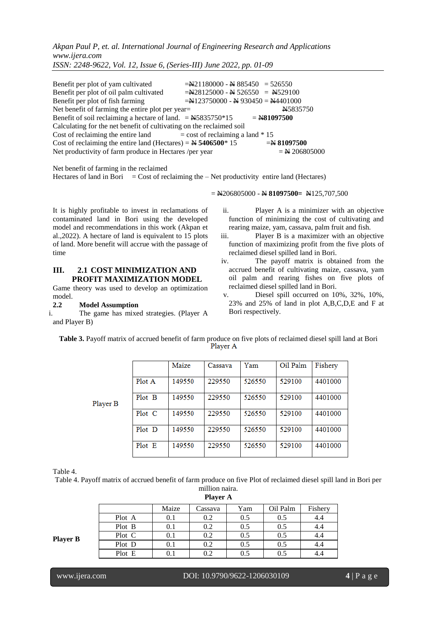*Akpan Paul P, et. al. International Journal of Engineering Research and Applications www.ijera.com*

*ISSN: 2248-9622, Vol. 12, Issue 6, (Series-III) June 2022, pp. 01-09*

Benefit per plot of yam cultivated  $=\frac{N21180000 - N 885450}{526550} = 526550$ Benefit per plot of oil palm cultivated  $=\frac{N28125000 - N}{526550} = \frac{N529100}{526550}$ Benefit per plot of fish farming  $= N123750000 - N 930450 = N4401000$ Net benefit of farming the entire plot per year= N5835750 Benefit of soil reclaiming a hectare of land.  $=$   $\frac{145835750*15}{=$   $\frac{1481097500}{=}$ Calculating for the net benefit of cultivating on the reclaimed soil Cost of reclaiming the entire land  $=$  cost of reclaiming a land  $*$  15 Cost of reclaiming the entire land (Hectares) =  $\frac{N}{2}$  5406500\* 15 =  $\frac{N}{2}$  81097500 Net productivity of farm produce in Hectares /per year  $=$  N 206805000

Net benefit of farming in the reclaimed Hectares of land in Bori  $=$  Cost of reclaiming the  $-$  Net productivity entire land (Hectares)

= N206805000 - N **81097500=** N125,707,500

It is highly profitable to invest in reclamations of contaminated land in Bori using the developed model and recommendations in this work (Akpan et al.,2022). A hectare of land is equivalent to 15 plots of land. More benefit will accrue with the passage of time

# **III. 2.1 COST MINIMIZATION AND PROFIT MAXIMIZATION MODEL**

Game theory was used to develop an optimization model.

### **2.2 Model Assumption**

Player

i. The game has mixed strategies. (Player A and Player B)

ii. Player A is a minimizer with an objective function of minimizing the cost of cultivating and rearing maize, yam, cassava, palm fruit and fish.

- iii. Player B is a maximizer with an objective function of maximizing profit from the five plots of reclaimed diesel spilled land in Bori.
- iv. The payoff matrix is obtained from the accrued benefit of cultivating maize, cassava, yam oil palm and rearing fishes on five plots of reclaimed diesel spilled land in Bori.
- v. Diesel spill occurred on 10%, 32%, 10%, 23% and 25% of land in plot A,B,C,D,E and F at Bori respectively.

| Table 3. Payoff matrix of accrued benefit of farm produce on five plots of reclaimed diesel spill land at Bori |          |  |  |
|----------------------------------------------------------------------------------------------------------------|----------|--|--|
|                                                                                                                | Player A |  |  |

|   |        | Maize  | Cassava | Yam    | Oil Palm | Fishery |
|---|--------|--------|---------|--------|----------|---------|
|   | Plot A | 149550 | 229550  | 526550 | 529100   | 4401000 |
| B | Plot B | 149550 | 229550  | 526550 | 529100   | 4401000 |
|   | Plot C | 149550 | 229550  | 526550 | 529100   | 4401000 |
|   | Plot D | 149550 | 229550  | 526550 | 529100   | 4401000 |
|   | Plot E | 149550 | 229550  | 526550 | 529100   | 4401000 |

Table 4.

Table 4. Payoff matrix of accrued benefit of farm produce on five Plot of reclaimed diesel spill land in Bori per million naira.

| шпон папс       |  |
|-----------------|--|
| <b>Player A</b> |  |

|                 |        |           | $\mathbf{1} \mathbf{1}$ |     |          |         |
|-----------------|--------|-----------|-------------------------|-----|----------|---------|
|                 |        | Maize     | Cassava                 | Yam | Oil Palm | Fishery |
|                 | Plot A | $0.1\,$   | 0.2                     | 0.5 | 0.5      | 4.4     |
|                 | Plot B | $0.1\,$   | 0.2                     | 0.5 | 0.5      | 4.4     |
| <b>Player B</b> | Plot C | 0.1       | 0.2                     | 0.5 | 0.5      | 4.4     |
|                 | Plot D | $0.1\,$   | 0.2                     | 0.5 | 0.5      | 4.4     |
|                 | Plot E | $\rm 0.1$ | 0.2                     | 0.5 | 0.5      | 4.4     |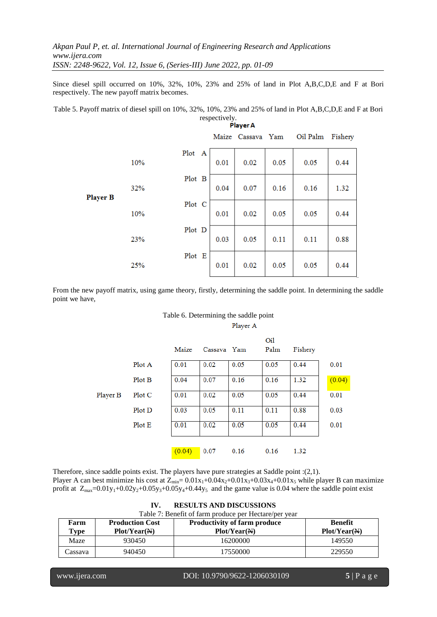Since diesel spill occurred on 10%, 32%, 10%, 23% and 25% of land in Plot A,B,C,D,E and F at Bori respectively. The new payoff matrix becomes.

Table 5. Payoff matrix of diesel spill on 10%, 32%, 10%, 23% and 25% of land in Plot A,B,C,D,E and F at Bori respectively.

|                 | , кусти |        |      |                   |      |          |         |
|-----------------|---------|--------|------|-------------------|------|----------|---------|
|                 |         |        |      | Maize Cassava Yam |      | Oil Palm | Fishery |
|                 | 10%     | Plot A | 0.01 | 0.02              | 0.05 | 0.05     | 0.44    |
| <b>Player B</b> | 32%     | Plot B | 0.04 | 0.07              | 0.16 | 0.16     | 1.32    |
|                 | 10%     | Plot C | 0.01 | 0.02              | 0.05 | 0.05     | 0.44    |
|                 | 23%     | Plot D | 0.03 | 0.05              | 0.11 | 0.11     | 0.88    |
|                 | 25%     | Plot E | 0.01 | 0.02              | 0.05 | 0.05     | 0.44    |

From the new payoff matrix, using game theory, firstly, determining the saddle point. In determining the saddle point we have,

| Table 6. Determining the saddle point |          |     |                |
|---------------------------------------|----------|-----|----------------|
|                                       | Player A |     |                |
|                                       |          | Oil |                |
| .                                     |          | - 1 | <del>.</del> . |

|          |        | Maize  | Cassava Yam |      | Palm | Fishery |        |
|----------|--------|--------|-------------|------|------|---------|--------|
|          | Plot A | 0.01   | 0.02        | 0.05 | 0.05 | 0.44    | 0.01   |
|          | Plot B | 0.04   | 0.07        | 0.16 | 0.16 | 1.32    | (0.04) |
| Player B | Plot C | 0.01   | 0.02        | 0.05 | 0.05 | 0.44    | 0.01   |
|          | Plot D | 0.03   | 0.05        | 0.11 | 0.11 | 0.88    | 0.03   |
|          | Plot E | 0.01   | 0.02        | 0.05 | 0.05 | 0.44    | 0.01   |
|          |        |        |             |      |      |         |        |
|          |        | (0.04) | 0.07        | 0.16 | 0.16 | 1.32    |        |

Therefore, since saddle points exist. The players have pure strategies at Saddle point :(2,1).

Player A can best minimize his cost at  $Z_{\text{min}} = 0.01x_1+0.04x_2+0.01x_3+0.03x_4+0.01x_5$  while player B can maximize profit at  $Z_{\text{max}}=0.01y_1+0.02y_2+0.05y_3+0.05y_4+0.44y_5$  and the game value is 0.04 where the saddle point exist

| <b>RESULTS AND DISCUSSIONS</b><br>IV.                 |                        |                                     |                |  |  |  |
|-------------------------------------------------------|------------------------|-------------------------------------|----------------|--|--|--|
| Table 7: Benefit of farm produce per Hectare/per year |                        |                                     |                |  |  |  |
| Farm                                                  | <b>Production Cost</b> | <b>Productivity of farm produce</b> | <b>Benefit</b> |  |  |  |
| Type                                                  | Plot/Year(M)           | Plot/Year(M)                        | Plot/Year(M)   |  |  |  |
| Maze                                                  | 930450                 | 16200000                            | 149550         |  |  |  |
| Cassava                                               | 940450                 | 17550000                            | 229550         |  |  |  |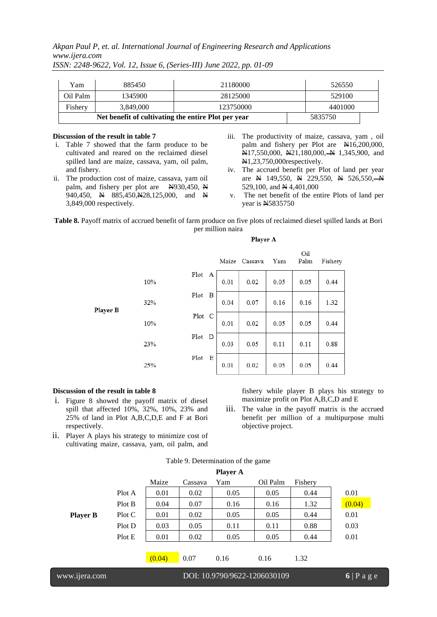*Akpan Paul P, et. al. International Journal of Engineering Research and Applications www.ijera.com*

| Yam                                                 | 885450    | 21180000  | 526550  |  |
|-----------------------------------------------------|-----------|-----------|---------|--|
| Oil Palm                                            | 1345900   | 28125000  | 529100  |  |
| Fishery                                             | 3.849.000 | 123750000 | 4401000 |  |
| Net benefit of cultivating the entire Plot per year |           |           | 5835750 |  |

*ISSN: 2248-9622, Vol. 12, Issue 6, (Series-III) June 2022, pp. 01-09*

### **Discussion of the result in table 7**

- i. Table 7 showed that the farm produce to be cultivated and reared on the reclaimed diesel spilled land are maize, cassava, yam, oil palm, and fishery.
- ii. The production cost of maize, cassava, yam oil palm, and fishery per plot are  $N=930,450, N$ 940,450, N 885,450, N 28,125,000, and N 3,849,000 respectively.
- iii. The productivity of maize, cassava, yam , oil palm and fishery per Plot are N16,200,000,  $\mathbb{N}17,550,000, \ \mathbb{N}21,180,000, \mathbb{N}1,345,900, \text{ and}$ N1,23,750,000respectively.
- iv. The accrued benefit per Plot of land per year are  $\cancel{H}$  149,550,  $\cancel{H}$  229,550,  $\cancel{H}$  526,550,  $\cancel{H}$ 529,100, and  $\cancel{\text{N }4,401,000}$
- v. The net benefit of the entire Plots of land per year is N5835750

#### **Table 8.** Payoff matrix of accrued benefit of farm produce on five plots of reclaimed diesel spilled lands at Bori per million naira

| --<br>___<br>__ | __ |
|-----------------|----|
|-----------------|----|

|                 |     |           |      | Maize Cassava | Yam  | Oil<br>Palm | Fishery |
|-----------------|-----|-----------|------|---------------|------|-------------|---------|
|                 | 10% | Plot<br>A | 0.01 | 0.02          | 0.05 | 0.05        | 0.44    |
| <b>Player B</b> | 32% | Plot<br>в | 0.04 | 0.07          | 0.16 | 0.16        | 1.32    |
|                 | 10% | Plot C    | 0.01 | 0.02          | 0.05 | 0.05        | 0.44    |
|                 | 23% | Plot<br>D | 0.03 | 0.05          | 0.11 | 0.11        | 0.88    |
|                 | 25% | Plot<br>Е | 0.01 | 0.02          | 0.05 | 0.05        | 0.44    |

# **Discussion of the result in table 8**

l

- i. Figure 8 showed the payoff matrix of diesel spill that affected 10%, 32%, 10%, 23% and 25% of land in Plot A,B,C,D,E and F at Bori respectively.
- ii. Player A plays his strategy to minimize cost of cultivating maize, cassava, yam, oil palm, and

fishery while player B plays his strategy to maximize profit on Plot A,B,C,D and E

iii. The value in the payoff matrix is the accrued benefit per million of a multipurpose multi objective project.

|                 |        |        |         | racio, e cumunición or uno game |          |         |          |
|-----------------|--------|--------|---------|---------------------------------|----------|---------|----------|
|                 |        |        |         | <b>Player A</b>                 |          |         |          |
|                 |        | Maize  | Cassava | Yam                             | Oil Palm | Fishery |          |
|                 | Plot A | 0.01   | 0.02    | 0.05                            | 0.05     | 0.44    | 0.01     |
|                 | Plot B | 0.04   | 0.07    | 0.16                            | 0.16     | 1.32    | (0.04)   |
| <b>Player B</b> | Plot C | 0.01   | 0.02    | 0.05                            | 0.05     | 0.44    | 0.01     |
|                 | Plot D | 0.03   | 0.05    | 0.11                            | 0.11     | 0.88    | 0.03     |
|                 | Plot E | 0.01   | 0.02    | 0.05                            | 0.05     | 0.44    | 0.01     |
|                 |        |        |         |                                 |          |         |          |
|                 |        | (0.04) | 0.07    | 0.16                            | 0.16     | 1.32    |          |
|                 |        |        |         |                                 |          |         |          |
| www.ijera.com   |        |        |         | DOI: 10.9790/9622-1206030109    |          |         | $6$ Page |

# Table 9. Determination of the game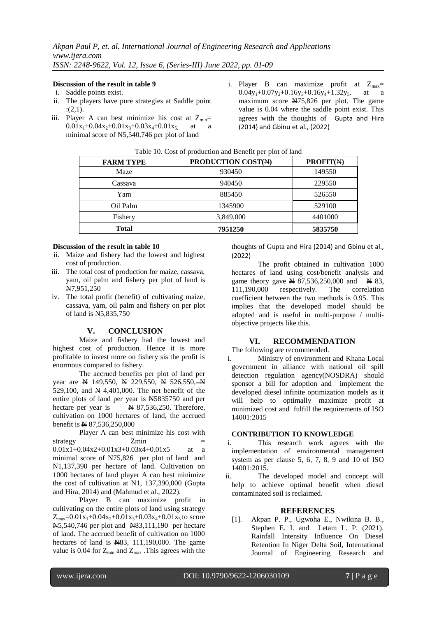# **Discussion of the result in table 9**

- i. Saddle points exist.
- ii. The players have pure strategies at Saddle point  $: (2,1).$
- iii. Player A can best minimize his cost at  $Z_{\text{min}}=$  $0.01x_1+0.04x_2+0.01x_3+0.03x_4+0.01x_5$  at a minimal score of N5,540,746 per plot of land
- i. Player B can maximize profit at  $Z_{\text{max}}=$  $0.04y_1+0.07y_2+0.16y_3+0.16y_4+1.32y_5$ . at a maximum score N75,826 per plot. The game value is 0.04 where the saddle point exist. This agrees with the thoughts of Gupta and Hira (2014) and Gbinu et al., (2022)

| <b>FARM TYPE</b> | PRODUCTION COST(N) | <b>PROFIT(N)</b> |  |  |  |  |  |
|------------------|--------------------|------------------|--|--|--|--|--|
| Maze             | 930450             | 149550           |  |  |  |  |  |
| Cassava          | 940450             | 229550           |  |  |  |  |  |
| Yam              | 885450             | 526550           |  |  |  |  |  |
| Oil Palm         | 1345900            | 529100           |  |  |  |  |  |
| Fishery          | 3,849,000          | 4401000          |  |  |  |  |  |
| <b>Total</b>     | 7951250            | 5835750          |  |  |  |  |  |

#### Table 10. Cost of production and Benefit per plot of land

#### **Discussion of the result in table 10**

- ii. Maize and fishery had the lowest and highest cost of production.
- iii. The total cost of production for maize, cassava, yam, oil palm and fishery per plot of land is N7,951,250
- iv. The total profit (benefit) of cultivating maize, cassava, yam, oil palm and fishery on per plot of land is N5,835,750

#### **V. CONCLUSION**

Maize and fishery had the lowest and highest cost of production. Hence it is more profitable to invest more on fishery sis the profit is enormous compared to fishery.

The accrued benefits per plot of land per year are N 149,550, N 229,550, N 526,550, N 529,100, and  $\cancel{H}$  4,401,000. The net benefit of the entire plots of land per year is N5835750 and per hectare per year is  $N$  87,536,250. Therefore, cultivation on 1000 hectares of land, the accrued benefit is  $\cancel{\text{N}}$  87,536,250,000

Player A can best minimize his cost with strategy **Zmin** = 0.01x1+0.04x2+0.01x3+0.03x4+0.01x5 at a minimal score of N75,826 per plot of land and N1,137,390 per hectare of land. Cultivation on 1000 hectares of land player A can best minimize the cost of cultivation at N1, 137,390,000 (Gupta and Hira, 2014) and (Mahmud et al., 2022).

Player B can maximize profit in cultivating on the entire plots of land using strategy  $Z_{\text{max}}=0.01x_1+0.04x_2+0.01x_3+0.03x_4+0.01x_5$  to score N5,540,746 per plot and N83,111,190 per hectare of land. The accrued benefit of cultivation on 1000 hectares of land is  $N83$ , 111, 190, 000. The game value is 0.04 for  $Z_{\text{min}}$  and  $Z_{\text{max}}$ . This agrees with the thoughts of Gupta and Hira (2014) and Gbinu et al., (2022)

The profit obtained in cultivation 1000 hectares of land using cost/benefit analysis and game theory gave  $\overline{M}$  87,536,250,000 and  $\overline{M}$  83, 111,190,000 respectively. The correlation coefficient between the two methods is 0.95. This implies that the developed model should be adopted and is useful in multi-purpose / multiobjective projects like this.

# **VI. RECOMMENDATION**

- The following are recommended. i. Ministry of environment and Khana Local
- government in alliance with national oil spill detection regulation agency(NOSDRA) should sponsor a bill for adoption and implement the developed diesel infinite optimization models as it will help to optimally maximize profit at minimized cost and fulfill the requirements of ISO 14001:2015

### **CONTRIBUTION TO KNOWLEDGE**

- i. This research work agrees with the implementation of environmental management system as per clause 5, 6, 7, 8, 9 and 10 of ISO 14001:2015.
- ii. The developed model and concept will help to achieve optimal benefit when diesel contaminated soil is reclaimed.

#### **REFERENCES**

[1]. Akpan P. P., Ugwoha E., Nwikina B. B., Stephen E. I. and Letam L. P. (2021). Rainfall Intensity Influence On Diesel Retention In Niger Delta Soil, International Journal of Engineering Research and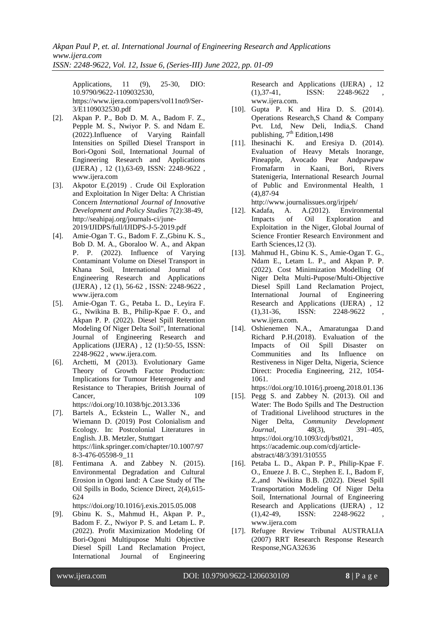Applications, 11 (9), 25-30, DIO: 10.9790/9622-1109032530, https://www.ijera.com/papers/vol11no9/Ser-3/E1109032530.pdf

- [2]. Akpan P. P., Bob D. M. A., Badom F. Z., Pepple M. S., Nwiyor P. S. and Ndam E. (2022).Influence of Varying Rainfall Intensities on Spilled Diesel Transport in Bori-Ogoni Soil, International Journal of Engineering Research and Applications (IJERA) , 12 (1),63-69, ISSN: 2248-9622 , [www.ijera.com](http://www.ijera.com/)
- [3]. Akpotor E.(2019) . Crude Oil Exploration and Exploitation In Niger Delta: A Christian Concern *International Journal of Innovative Development and Policy Studies* 7(2):38-49, [http://seahipaj.org/journals-ci/june-](http://seahipaj.org/journals-ci/june-2019/IJIDPS/full/IJIDPS-J-5-2019.pdf)[2019/IJIDPS/full/IJIDPS-J-5-2019.pdf](http://seahipaj.org/journals-ci/june-2019/IJIDPS/full/IJIDPS-J-5-2019.pdf)
- [4]. Amie-Ogan T. G., Badom F. Z.,Gbinu K. S., Bob D. M. A., Gboraloo W. A., and Akpan P. P. (2022). Influence of Varying Contaminant Volume on Diesel Transport in Khana Soil, International Journal of Engineering Research and Applications (IJERA) , 12 (1), 56-62 , ISSN: 2248-9622 , [www.ijera.com](http://www.ijera.com/)
- [5]. Amie-Ogan T. G., Petaba L. D., Leyira F. G., Nwikina B. B., Philip-Kpae F. O., and Akpan P. P. (2022). Diesel Spill Retention Modeling Of Niger Delta Soil", International Journal of Engineering Research and Applications (IJERA) , 12 (1):50-55, ISSN: 2248-9622 , www.ijera.com.
- [6]. Archetti, M (2013). Evolutionary Game Theory of Growth Factor Production: Implications for Tumour Heterogeneity and Resistance to Therapies, British Journal of Cancer, 109 <https://doi.org/10.1038/bjc.2013.336>
- [7]. Bartels A., Eckstein L., Waller N., and Wiemann D. (2019) Post Colonialism and Ecology. In: Postcolonial Literatures in English. J.B. Metzler, Stuttgart [https://link.springer.com/chapter/10.1007/97](https://link.springer.com/chapter/10.1007/978-3-476-05598-9_11) [8-3-476-05598-9\\_11](https://link.springer.com/chapter/10.1007/978-3-476-05598-9_11)
- [8]. Fentimana A. and Zabbey N. (2015). Environmental Degradation and Cultural Erosion in Ogoni land: A Case Study of The Oil Spills in Bodo, Science Direct, 2(4),615- 624

<https://doi.org/10.1016/j.exis.2015.05.008>

[9]. Gbinu K. S., Mahmud H., Akpan P. P., Badom F. Z., Nwiyor P. S. and Letam L. P. (2022). Profit Maximization Modeling Of Bori-Ogoni Multipupose Multi Objective Diesel Spill Land Reclamation Project, International Journal of Engineering

Research and Applications (IJERA) , 12  $(1),37-41,$  ISSN: 2248-9622 [www.ijera.com.](http://www.ijera.com/)

- [10]. Gupta P. K and Hira D. S. (2014). Operations Research,S Chand & Company Pvt. Ltd, New Deli, India,S. Chand publishing,  $7<sup>th</sup>$  Edition, 1498
- [11]. Ihesinachi K. and Eresiya D. (2014). Evaluation of Heavy Metals Inorange, Pineapple, Avocado Pear Andpawpaw Fromafarm in Kaani, Bori, Rivers Statenigeria, International Research Journal of Public and Environmental Health, 1 (4),87-94

http://www.journalissues.org/irjpeh/

- [12]. Kadafa, A. A.(2012). Environmental Impacts of Oil Exploration and Exploitation in the Niger, Global Journal of Science Frontier Research Environment and Earth Sciences,12 (3).
- [13]. Mahmud H., Gbinu K. S., Amie-Ogan T. G., Ndam E., Letam L. P., and Akpan P. P. (2022). Cost Minimization Modelling Of Niger Delta Multi-Pupose/Multi-Objective Diesel Spill Land Reclamation Project, International Journal of Engineering Research and Applications (IJERA) , 12  $(1),31-36,$  ISSN: 2248-9622 [www.ijera.com.](http://www.ijera.com/)
- [14]. Oshienemen N.A., Amaratungaa D.and Richard P.H.(2018). Evaluation of the Impacts of Oil Spill Disaster on Communities and Its Influence on Restiveness in Niger Delta, Nigeria, Science Direct: Procedia Engineering, 212, 1054- 1061.

<https://doi.org/10.1016/j.proeng.2018.01.136>

- [15]. Pegg S. and Zabbey N. (2013). Oil and Water: The Bodo Spills and The Destruction of Traditional Livelihood structures in the Niger Delta, *Community Development Journal*, 48(3), 391–405, [https://doi.org/10.1093/cdj/bst021,](https://doi.org/10.1093/cdj/bst021) [https://academic.oup.com/cdj/article](https://academic.oup.com/cdj/article-abstract/48/3/391/310555)[abstract/48/3/391/310555](https://academic.oup.com/cdj/article-abstract/48/3/391/310555)
- [16]. Petaba L. D., Akpan P. P., Philip-Kpae F. O., Enueze J. B. C., Stephen E. I., Badom F, Z.,and Nwikina B.B. (2022). Diesel Spill Transportation Modeling Of Niger Delta Soil, International Journal of Engineering Research and Applications (IJERA) , 12  $(1),42-49,$  ISSN:  $2248-9622$ www.ijera.com
- [17]. Refugee Review Tribunal AUSTRALIA (2007) RRT Research Response Research Response,NGA32636